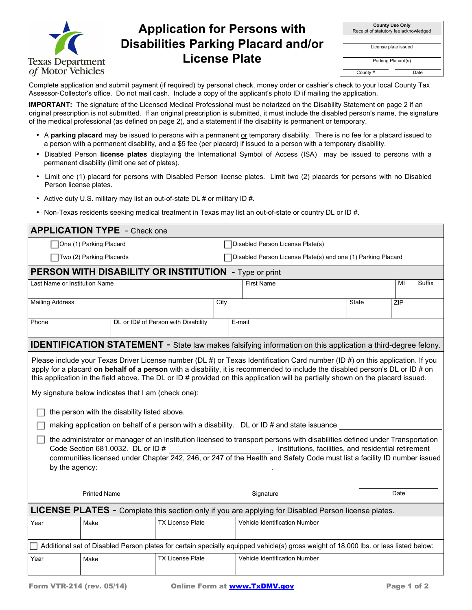

## **Application for Persons with Disabilities Parking Placard and/or License Plate**

| <b>County Use Only</b><br>Receipt of statutory fee acknowledged |      |  |  |  |  |  |
|-----------------------------------------------------------------|------|--|--|--|--|--|
| License plate issued                                            |      |  |  |  |  |  |
| Parking Placard(s)                                              |      |  |  |  |  |  |
| County#                                                         | Date |  |  |  |  |  |

Complete application and submit payment (if required) by personal check, money order or cashier's check to your local County Tax Assessor-Collector's office. Do not mail cash. Include a copy of the applicant's photo ID if mailing the application.

**IMPORTANT:** The signature of the Licensed Medical Professional must be notarized on the Disability Statement on page 2 if an original prescription is not submitted. If an original prescription is submitted, it must include the disabled person's name, the signature of the medical professional (as defined on page 2), and a statement if the disability is permanent or temporary.

- A parking placard may be issued to persons with a permanent or temporary disability. There is no fee for a placard issued to a person with a permanent disability, and a \$5 fee (per placard) if issued to a person with a temporary disability.
- Disabled Person **license plates** displaying the International Symbol of Access (ISA) may be issued to persons with a permanent disability (limit one set of plates).
- Limit one (1) placard for persons with Disabled Person license plates. Limit two (2) placards for persons with no Disabled Person license plates.
- Active duty U.S. military may list an out-of-state DL # or military ID #.
- Non-Texas residents seeking medical treatment in Texas may list an out-of-state or country DL or ID #.

| <b>APPLICATION TYPE - Check one</b>                                                                 |                                                                                                                                                                                                                                                                                                                                                                                                                                                                                                                                                                                                                                                                                                                                                                                                                                                                                                                                                                                                              |  |                                     |                                                              |                                                                                                                                      |    |              |     |  |  |  |
|-----------------------------------------------------------------------------------------------------|--------------------------------------------------------------------------------------------------------------------------------------------------------------------------------------------------------------------------------------------------------------------------------------------------------------------------------------------------------------------------------------------------------------------------------------------------------------------------------------------------------------------------------------------------------------------------------------------------------------------------------------------------------------------------------------------------------------------------------------------------------------------------------------------------------------------------------------------------------------------------------------------------------------------------------------------------------------------------------------------------------------|--|-------------------------------------|--------------------------------------------------------------|--------------------------------------------------------------------------------------------------------------------------------------|----|--------------|-----|--|--|--|
| One (1) Parking Placard                                                                             |                                                                                                                                                                                                                                                                                                                                                                                                                                                                                                                                                                                                                                                                                                                                                                                                                                                                                                                                                                                                              |  |                                     | Disabled Person License Plate(s)                             |                                                                                                                                      |    |              |     |  |  |  |
| Two (2) Parking Placards                                                                            |                                                                                                                                                                                                                                                                                                                                                                                                                                                                                                                                                                                                                                                                                                                                                                                                                                                                                                                                                                                                              |  |                                     | Disabled Person License Plate(s) and one (1) Parking Placard |                                                                                                                                      |    |              |     |  |  |  |
| PERSON WITH DISABILITY OR INSTITUTION - Type or print                                               |                                                                                                                                                                                                                                                                                                                                                                                                                                                                                                                                                                                                                                                                                                                                                                                                                                                                                                                                                                                                              |  |                                     |                                                              |                                                                                                                                      |    |              |     |  |  |  |
| Last Name or Institution Name                                                                       |                                                                                                                                                                                                                                                                                                                                                                                                                                                                                                                                                                                                                                                                                                                                                                                                                                                                                                                                                                                                              |  |                                     | <b>First Name</b>                                            |                                                                                                                                      | MI | Suffix       |     |  |  |  |
| <b>Mailing Address</b>                                                                              |                                                                                                                                                                                                                                                                                                                                                                                                                                                                                                                                                                                                                                                                                                                                                                                                                                                                                                                                                                                                              |  |                                     | City                                                         |                                                                                                                                      |    | <b>State</b> | ZIP |  |  |  |
| Phone                                                                                               |                                                                                                                                                                                                                                                                                                                                                                                                                                                                                                                                                                                                                                                                                                                                                                                                                                                                                                                                                                                                              |  | DL or ID# of Person with Disability |                                                              | E-mail                                                                                                                               |    |              |     |  |  |  |
|                                                                                                     |                                                                                                                                                                                                                                                                                                                                                                                                                                                                                                                                                                                                                                                                                                                                                                                                                                                                                                                                                                                                              |  |                                     |                                                              | <b>IDENTIFICATION STATEMENT</b> - State law makes falsifying information on this application a third-degree felony.                  |    |              |     |  |  |  |
|                                                                                                     | Please include your Texas Driver License number (DL #) or Texas Identification Card number (ID #) on this application. If you<br>apply for a placard on behalf of a person with a disability, it is recommended to include the disabled person's DL or ID # on<br>this application in the field above. The DL or ID # provided on this application will be partially shown on the placard issued.<br>My signature below indicates that I am (check one):<br>the person with the disability listed above.<br>making application on behalf of a person with a disability. DL or ID # and state issuance<br>the administrator or manager of an institution licensed to transport persons with disabilities defined under Transportation<br>Code Section 681.0032. DL or ID #<br>____________________________. Institutions, facilities, and residential retirement<br>communities licensed under Chapter 242, 246, or 247 of the Health and Safety Code must list a facility ID number issued<br>by the agency: |  |                                     |                                                              |                                                                                                                                      |    |              |     |  |  |  |
|                                                                                                     | Signature<br><b>Printed Name</b><br>Date                                                                                                                                                                                                                                                                                                                                                                                                                                                                                                                                                                                                                                                                                                                                                                                                                                                                                                                                                                     |  |                                     |                                                              |                                                                                                                                      |    |              |     |  |  |  |
| LICENSE PLATES - Complete this section only if you are applying for Disabled Person license plates. |                                                                                                                                                                                                                                                                                                                                                                                                                                                                                                                                                                                                                                                                                                                                                                                                                                                                                                                                                                                                              |  |                                     |                                                              |                                                                                                                                      |    |              |     |  |  |  |
| Year                                                                                                | Make                                                                                                                                                                                                                                                                                                                                                                                                                                                                                                                                                                                                                                                                                                                                                                                                                                                                                                                                                                                                         |  | <b>TX License Plate</b>             |                                                              | Vehicle Identification Number                                                                                                        |    |              |     |  |  |  |
|                                                                                                     |                                                                                                                                                                                                                                                                                                                                                                                                                                                                                                                                                                                                                                                                                                                                                                                                                                                                                                                                                                                                              |  |                                     |                                                              | Additional set of Disabled Person plates for certain specially equipped vehicle(s) gross weight of 18,000 lbs. or less listed below: |    |              |     |  |  |  |
| Year                                                                                                | Make                                                                                                                                                                                                                                                                                                                                                                                                                                                                                                                                                                                                                                                                                                                                                                                                                                                                                                                                                                                                         |  | <b>TX License Plate</b>             |                                                              | Vehicle Identification Number                                                                                                        |    |              |     |  |  |  |